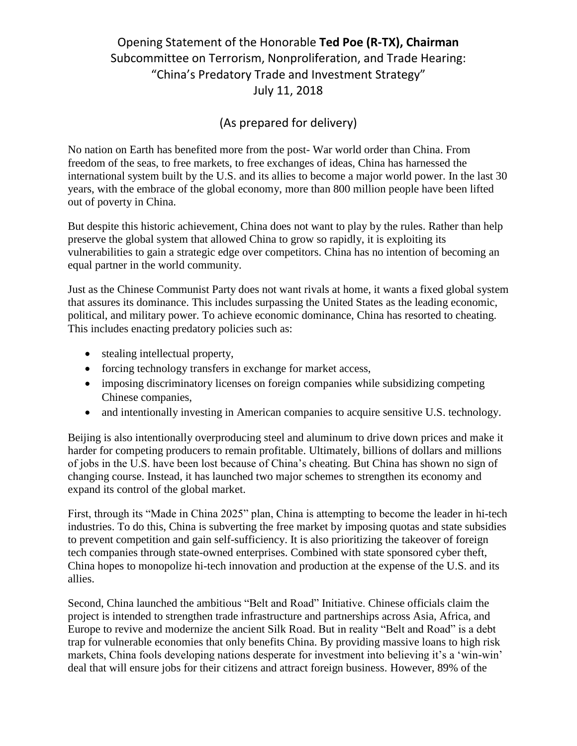## Opening Statement of the Honorable **Ted Poe (R-TX), Chairman** Subcommittee on Terrorism, Nonproliferation, and Trade Hearing: "China's Predatory Trade and Investment Strategy" July 11, 2018

## (As prepared for delivery)

No nation on Earth has benefited more from the post- War world order than China. From freedom of the seas, to free markets, to free exchanges of ideas, China has harnessed the international system built by the U.S. and its allies to become a major world power. In the last 30 years, with the embrace of the global economy, more than 800 million people have been lifted out of poverty in China.

But despite this historic achievement, China does not want to play by the rules. Rather than help preserve the global system that allowed China to grow so rapidly, it is exploiting its vulnerabilities to gain a strategic edge over competitors. China has no intention of becoming an equal partner in the world community.

Just as the Chinese Communist Party does not want rivals at home, it wants a fixed global system that assures its dominance. This includes surpassing the United States as the leading economic, political, and military power. To achieve economic dominance, China has resorted to cheating. This includes enacting predatory policies such as:

- stealing intellectual property,
- forcing technology transfers in exchange for market access,
- imposing discriminatory licenses on foreign companies while subsidizing competing Chinese companies,
- and intentionally investing in American companies to acquire sensitive U.S. technology.

Beijing is also intentionally overproducing steel and aluminum to drive down prices and make it harder for competing producers to remain profitable. Ultimately, billions of dollars and millions of jobs in the U.S. have been lost because of China's cheating. But China has shown no sign of changing course. Instead, it has launched two major schemes to strengthen its economy and expand its control of the global market.

First, through its "Made in China 2025" plan, China is attempting to become the leader in hi-tech industries. To do this, China is subverting the free market by imposing quotas and state subsidies to prevent competition and gain self-sufficiency. It is also prioritizing the takeover of foreign tech companies through state-owned enterprises. Combined with state sponsored cyber theft, China hopes to monopolize hi-tech innovation and production at the expense of the U.S. and its allies.

Second, China launched the ambitious "Belt and Road" Initiative. Chinese officials claim the project is intended to strengthen trade infrastructure and partnerships across Asia, Africa, and Europe to revive and modernize the ancient Silk Road. But in reality "Belt and Road" is a debt trap for vulnerable economies that only benefits China. By providing massive loans to high risk markets, China fools developing nations desperate for investment into believing it's a 'win-win' deal that will ensure jobs for their citizens and attract foreign business. However, 89% of the